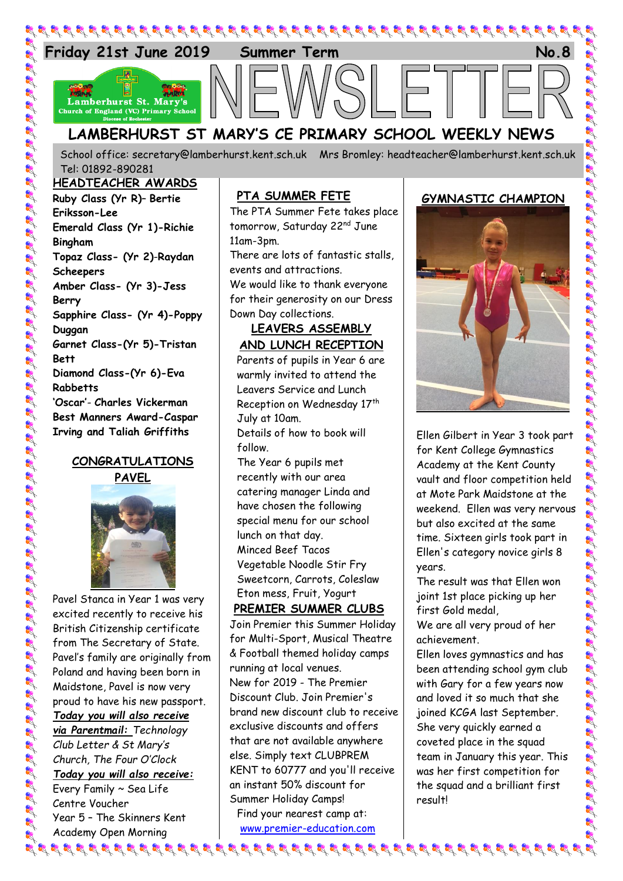

School office: [secretary@lamberhurst.kent.sch.uk](mailto:secretary@lamberhurst.kent.sch.uk) Mrs Bromley: headteacher@lamberhurst.kent.sch.uk Tel: 01892-890281

#### **HEADTEACHER AWARDS**

**Ruby Class (Yr R)**– **Bertie Eriksson-Lee Emerald Class (Yr 1)-Richie Bingham Topaz Class- (Yr 2)**-**Raydan Scheepers Amber Class- (Yr 3)-Jess Berry Sapphire Class- (Yr 4)-Poppy Duggan Garnet Class-(Yr 5)-Tristan Bett Diamond Class-(Yr 6)-Eva Rabbetts 'Oscar'**- **Charles Vickerman Best Manners Award-Caspar Irving and Taliah Griffiths**

# **CONGRATULATIONS PAVEL**



Pavel Stanca in Year 1 was very excited recently to receive his British Citizenship certificate from The Secretary of State. Pavel's family are originally from Poland and having been born in Maidstone, Pavel is now very proud to have his new passport. *Today you will also receive via Parentmail: Technology Club Letter & St Mary's Church, The Four O'Clock Today you will also receive:* Every Family ~ Sea Life Centre Voucher Year 5 – The Skinners Kent Academy Open Morning

### **PTA SUMMER FETE**

The PTA Summer Fete takes place tomorrow, Saturday 22<sup>nd</sup> June 11am-3pm.

There are lots of fantastic stalls, events and attractions. We would like to thank everyone

for their generosity on our Dress Down Day collections.

# **LEAVERS ASSEMBLY AND LUNCH RECEPTION**

Parents of pupils in Year 6 are warmly invited to attend the Leavers Service and Lunch Reception on Wednesday 17th July at 10am.

Details of how to book will follow.

The Year 6 pupils met recently with our area catering manager Linda and have chosen the following special menu for our school lunch on that day. Minced Beef Tacos Vegetable Noodle Stir Fry Sweetcorn, Carrots, Coleslaw Eton mess, Fruit, Yogurt

# **PREMIER SUMMER CLUBS**

Join Premier this Summer Holiday for Multi-Sport, Musical Theatre & Football themed holiday camps running at local venues. New for 2019 - The Premier Discount Club. Join Premier's brand new discount club to receive exclusive discounts and offers that are not available anywhere else. Simply text CLUBPREM KENT to 60777 and you'll receive an instant 50% discount for Summer Holiday Camps! Find your nearest camp at:

[www.premier-education.com](https://emea01.safelinks.protection.outlook.com/?url=http%3A%2F%2Fwww.premier-education.com&data=02%7C01%7Cmfinch%40premier-education.com%7C281d9619d018452262ba08d6a16eaa54%7C8835ddcdaaad45a4a5114b9182e0554a%7C0%7C0%7C636873894025864963&sdata=nhV8QQcHyOUUwtB5ZTz5CxFqWncOW5uHjShZcbhB3Ms%3D&reserved=0)

## **GYMNASTIC CHAMPION**



Ellen Gilbert in Year 3 took part for Kent College Gymnastics Academy at the Kent County vault and floor competition held at Mote Park Maidstone at the weekend. Ellen was very nervous but also excited at the same time. Sixteen girls took part in Ellen's category novice girls 8 years.

The result was that Ellen won joint 1st place picking up her first Gold medal,

We are all very proud of her achievement.

Ellen loves gymnastics and has been attending school gym club with Gary for a few years now and loved it so much that she joined KCGA last September. She very quickly earned a coveted place in the squad team in January this year. This was her first competition for the squad and a brilliant first result!